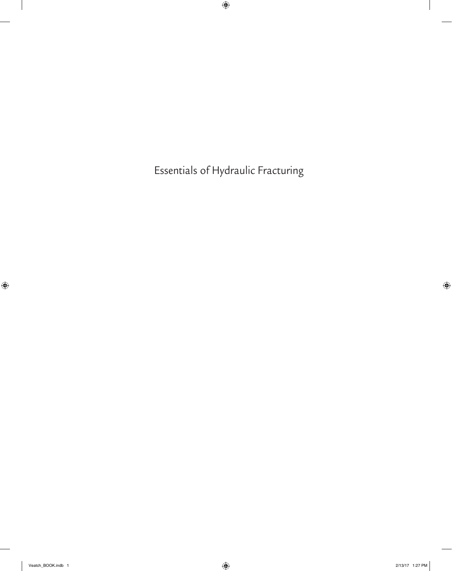Essentials of Hydraulic Fracturing

 $\bigoplus$ 

 $\mathbb{I}$ 

 $\bigoplus$ 

 $\mathbb{I}$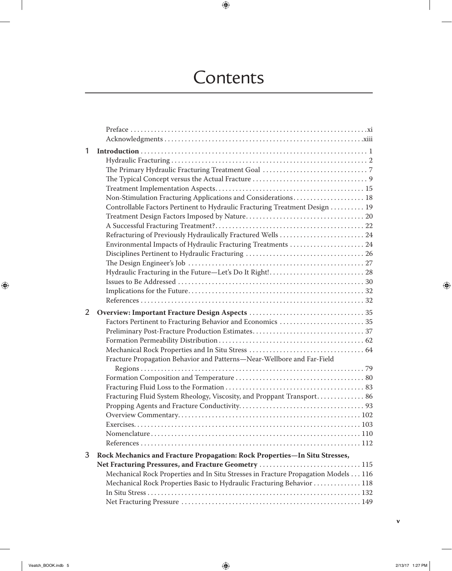# **Contents**

 $\bigoplus$ 

| 1 | Non-Stimulation Fracturing Applications and Considerations 18<br>Controllable Factors Pertinent to Hydraulic Fracturing Treatment Design  19<br>Refracturing of Previously Hydraulically Fractured Wells  24<br>Environmental Impacts of Hydraulic Fracturing Treatments  24                      |
|---|---------------------------------------------------------------------------------------------------------------------------------------------------------------------------------------------------------------------------------------------------------------------------------------------------|
| 2 | Factors Pertinent to Fracturing Behavior and Economics  35<br>Fracture Propagation Behavior and Patterns-Near-Wellbore and Far-Field<br>Fracturing Fluid System Rheology, Viscosity, and Proppant Transport 86                                                                                    |
| 3 | Rock Mechanics and Fracture Propagation: Rock Properties-In Situ Stresses,<br>Net Fracturing Pressures, and Fracture Geometry 115<br>Mechanical Rock Properties and In Situ Stresses in Fracture Propagation Models 116<br>Mechanical Rock Properties Basic to Hydraulic Fracturing Behavior  118 |

 $\perp$ 

 $\bigoplus$ 

 $\overline{\phantom{a}}$ 

 $\bigoplus$ 

**v**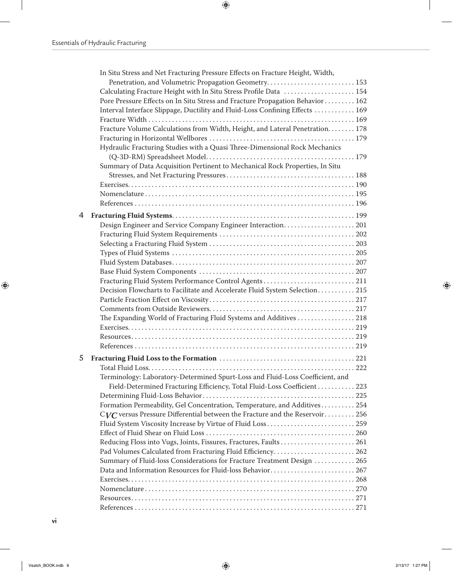$\mathbb{I}$ 

 $\bigoplus$ 

|   | In Situ Stress and Net Fracturing Pressure Effects on Fracture Height, Width,  |  |
|---|--------------------------------------------------------------------------------|--|
|   |                                                                                |  |
|   | Calculating Fracture Height with In Situ Stress Profile Data  154              |  |
|   | Pore Pressure Effects on In Situ Stress and Fracture Propagation Behavior  162 |  |
|   | Interval Interface Slippage, Ductility and Fluid-Loss Confining Effects  169   |  |
|   |                                                                                |  |
|   | Fracture Volume Calculations from Width, Height, and Lateral Penetration. 178  |  |
|   |                                                                                |  |
|   | Hydraulic Fracturing Studies with a Quasi Three-Dimensional Rock Mechanics     |  |
|   |                                                                                |  |
|   | Summary of Data Acquisition Pertinent to Mechanical Rock Properties, In Situ   |  |
|   |                                                                                |  |
|   |                                                                                |  |
|   |                                                                                |  |
|   |                                                                                |  |
| 4 |                                                                                |  |
|   | Design Engineer and Service Company Engineer Interaction 201                   |  |
|   |                                                                                |  |
|   |                                                                                |  |
|   |                                                                                |  |
|   |                                                                                |  |
|   |                                                                                |  |
|   | Fracturing Fluid System Performance Control Agents211                          |  |
|   | Decision Flowcharts to Facilitate and Accelerate Fluid System Selection 215    |  |
|   |                                                                                |  |
|   |                                                                                |  |
|   | The Expanding World of Fracturing Fluid Systems and Additives 218              |  |
|   |                                                                                |  |
|   |                                                                                |  |
|   |                                                                                |  |
| 5 |                                                                                |  |
|   |                                                                                |  |
|   | Terminology: Laboratory-Determined Spurt-Loss and Fluid-Loss Coefficient, and  |  |
|   | Field-Determined Fracturing Efficiency, Total Fluid-Loss Coefficient  223      |  |
|   |                                                                                |  |
|   | Formation Permeability, Gel Concentration, Temperature, and Additives 254      |  |
|   | $CVC$ versus Pressure Differential between the Fracture and the Reservoir 256  |  |
|   | Fluid System Viscosity Increase by Virtue of Fluid Loss 259                    |  |
|   |                                                                                |  |
|   | Reducing Floss into Vugs, Joints, Fissures, Fractures, Faults 261              |  |
|   | Pad Volumes Calculated from Fracturing Fluid Efficiency 262                    |  |
|   | Summary of Fluid-loss Considerations for Fracture Treatment Design  265        |  |
|   | Data and Information Resources for Fluid-loss Behavior267                      |  |
|   |                                                                                |  |
|   |                                                                                |  |
|   |                                                                                |  |
|   |                                                                                |  |
|   |                                                                                |  |

 $\bigoplus$ 

 $\mathbf{I}$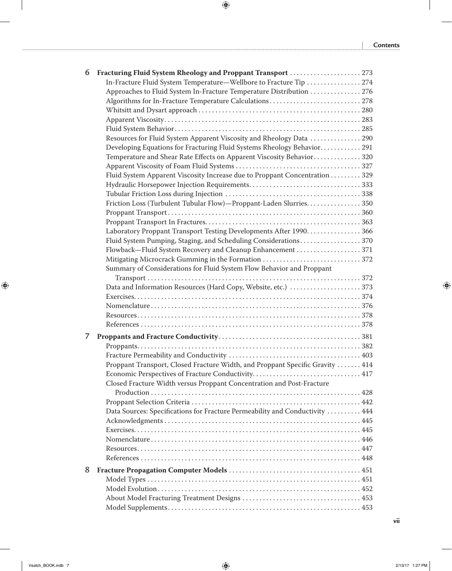**| Contents** 

 $\overline{\phantom{a}}$ 

 $\bigoplus$ 

| 6 | Fracturing Fluid System Rheology and Proppant Transport 273                   |
|---|-------------------------------------------------------------------------------|
|   | In-Fracture Fluid System Temperature—Wellbore to Fracture Tip  274            |
|   | Approaches to Fluid System In-Fracture Temperature Distribution  276          |
|   |                                                                               |
|   |                                                                               |
|   |                                                                               |
|   |                                                                               |
|   | Resources for Fluid System Apparent Viscosity and Rheology Data  290          |
|   | Developing Equations for Fracturing Fluid Systems Rheology Behavior 291       |
|   | Temperature and Shear Rate Effects on Apparent Viscosity Behavior320          |
|   |                                                                               |
|   | Fluid System Apparent Viscosity Increase due to Proppant Concentration 329    |
|   |                                                                               |
|   |                                                                               |
|   | Friction Loss (Turbulent Tubular Flow)—Proppant-Laden Slurries350             |
|   |                                                                               |
|   |                                                                               |
|   | Laboratory Proppant Transport Testing Developments After 1990. 366            |
|   | Fluid System Pumping, Staging, and Scheduling Considerations370               |
|   | Flowback-Fluid System Recovery and Cleanup Enhancement 371                    |
|   | Mitigating Microcrack Gumming in the Formation 372                            |
|   | Summary of Considerations for Fluid System Flow Behavior and Proppant         |
|   |                                                                               |
|   |                                                                               |
|   | Data and Information Resources (Hard Copy, Website, etc.) 373                 |
|   |                                                                               |
|   |                                                                               |
|   |                                                                               |
|   |                                                                               |
| 7 |                                                                               |
|   |                                                                               |
|   |                                                                               |
|   | Proppant Transport, Closed Fracture Width, and Proppant Specific Gravity  414 |
|   |                                                                               |
|   | Closed Fracture Width versus Proppant Concentration and Post-Fracture         |
|   |                                                                               |
|   |                                                                               |
|   | Data Sources: Specifications for Fracture Permeability and Conductivity  444  |
|   |                                                                               |
|   |                                                                               |
|   |                                                                               |
|   |                                                                               |
|   |                                                                               |
| 8 |                                                                               |
|   |                                                                               |
|   |                                                                               |
|   |                                                                               |
|   |                                                                               |
|   |                                                                               |

 $\bigoplus$ 

 $\perp$ 

 $\bigoplus$ 

Veatch\_BOOK.indb 7 2/13/17 1:27 PM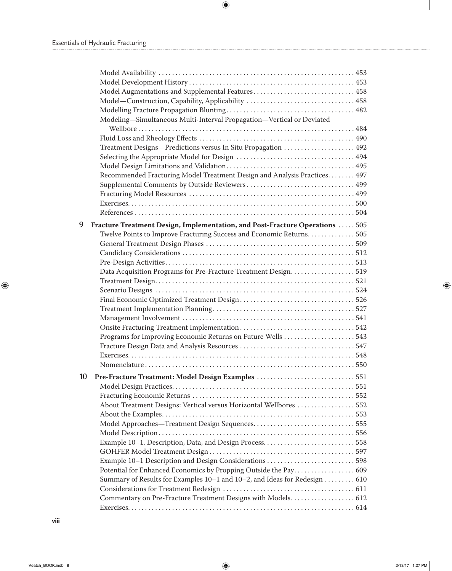$\perp$ 

 $\bigoplus$ 

|    | Model Augmentations and Supplemental Features 458                            |  |
|----|------------------------------------------------------------------------------|--|
|    |                                                                              |  |
|    |                                                                              |  |
|    | Modeling-Simultaneous Multi-Interval Propagation-Vertical or Deviated        |  |
|    |                                                                              |  |
|    |                                                                              |  |
|    | Treatment Designs-Predictions versus In Situ Propagation  492                |  |
|    |                                                                              |  |
|    |                                                                              |  |
|    | Recommended Fracturing Model Treatment Design and Analysis Practices 497     |  |
|    |                                                                              |  |
|    |                                                                              |  |
|    |                                                                              |  |
|    |                                                                              |  |
| 9  | Fracture Treatment Design, Implementation, and Post-Fracture Operations  505 |  |
|    | Twelve Points to Improve Fracturing Success and Economic Returns. 505        |  |
|    |                                                                              |  |
|    |                                                                              |  |
|    |                                                                              |  |
|    | Data Acquisition Programs for Pre-Fracture Treatment Design519               |  |
|    |                                                                              |  |
|    |                                                                              |  |
|    |                                                                              |  |
|    |                                                                              |  |
|    |                                                                              |  |
|    |                                                                              |  |
|    | Programs for Improving Economic Returns on Future Wells 543                  |  |
|    |                                                                              |  |
|    |                                                                              |  |
|    |                                                                              |  |
|    |                                                                              |  |
| 10 | Pre-Fracture Treatment: Model Design Examples 551                            |  |
|    |                                                                              |  |
|    |                                                                              |  |
|    | About Treatment Designs: Vertical versus Horizontal Wellbores 552            |  |
|    |                                                                              |  |
|    | Model Approaches-Treatment Design Sequences555                               |  |
|    |                                                                              |  |
|    |                                                                              |  |
|    |                                                                              |  |
|    | Example 10-1 Description and Design Considerations 598                       |  |
|    | Potential for Enhanced Economics by Propping Outside the Pay 609             |  |
|    | Summary of Results for Examples 10–1 and 10–2, and Ideas for Redesign 610    |  |
|    |                                                                              |  |
|    | Commentary on Pre-Fracture Treatment Designs with Models 612                 |  |
|    |                                                                              |  |

 $\bigoplus$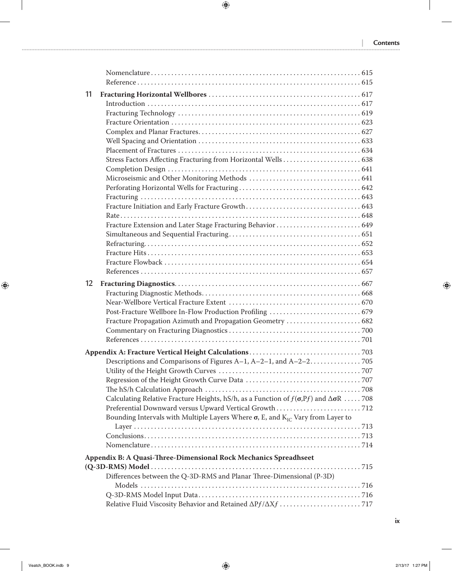$\overline{\phantom{a}}$ 

 $\bigoplus$ 

| 11 |                                                                                                        |  |  |
|----|--------------------------------------------------------------------------------------------------------|--|--|
|    |                                                                                                        |  |  |
|    |                                                                                                        |  |  |
|    |                                                                                                        |  |  |
|    |                                                                                                        |  |  |
|    |                                                                                                        |  |  |
|    |                                                                                                        |  |  |
|    |                                                                                                        |  |  |
|    |                                                                                                        |  |  |
|    |                                                                                                        |  |  |
|    |                                                                                                        |  |  |
|    |                                                                                                        |  |  |
|    |                                                                                                        |  |  |
|    | Fracture Extension and Later Stage Fracturing Behavior  649                                            |  |  |
|    |                                                                                                        |  |  |
|    |                                                                                                        |  |  |
|    |                                                                                                        |  |  |
|    |                                                                                                        |  |  |
|    |                                                                                                        |  |  |
| 12 |                                                                                                        |  |  |
|    |                                                                                                        |  |  |
|    |                                                                                                        |  |  |
|    |                                                                                                        |  |  |
|    | Fracture Propagation Azimuth and Propagation Geometry  682                                             |  |  |
|    |                                                                                                        |  |  |
|    |                                                                                                        |  |  |
|    |                                                                                                        |  |  |
|    |                                                                                                        |  |  |
|    |                                                                                                        |  |  |
|    |                                                                                                        |  |  |
|    |                                                                                                        |  |  |
|    | Calculating Relative Fracture Heights, hS/h, as a Function of $f(\sigma,Pf)$ and $\Delta \sigma R$ 708 |  |  |
|    | Preferential Downward versus Upward Vertical Growth  712                                               |  |  |
|    | Bounding Intervals with Multiple Layers Where $\sigma$ , E, and $K_{IC}$ Vary from Layer to            |  |  |
|    |                                                                                                        |  |  |
|    |                                                                                                        |  |  |
|    |                                                                                                        |  |  |
|    | Appendix B: A Quasi-Three-Dimensional Rock Mechanics Spreadhseet                                       |  |  |
|    |                                                                                                        |  |  |
|    | Differences between the Q-3D-RMS and Planar Three-Dimensional (P-3D)                                   |  |  |
|    |                                                                                                        |  |  |
|    |                                                                                                        |  |  |
|    |                                                                                                        |  |  |

 $\bigoplus$ 

 $\mathbf{r}$ 

 $\bigoplus$ 

Veatch\_BOOK.indb 9 2/13/17 1:27 PM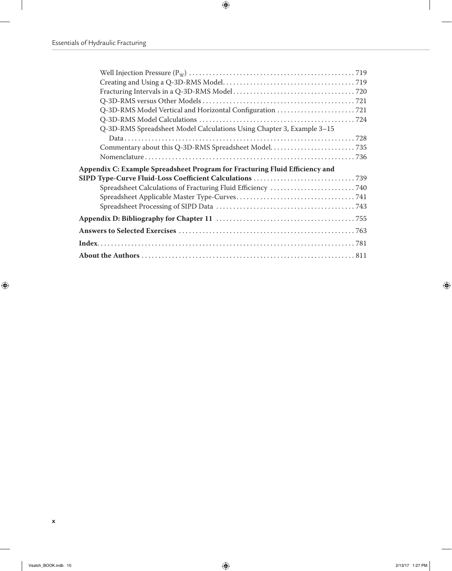$\mathbb{R}$ 

 $\bigoplus$ 

| Q-3D-RMS Spreadsheet Model Calculations Using Chapter 3, Example 3-15       |  |
|-----------------------------------------------------------------------------|--|
|                                                                             |  |
|                                                                             |  |
|                                                                             |  |
|                                                                             |  |
| Appendix C: Example Spreadsheet Program for Fracturing Fluid Efficiency and |  |
|                                                                             |  |
|                                                                             |  |
| Spreadsheet Calculations of Fracturing Fluid Efficiency 740                 |  |
|                                                                             |  |
|                                                                             |  |
|                                                                             |  |
|                                                                             |  |

 $\bigoplus$ 

 $\mathbf{I}$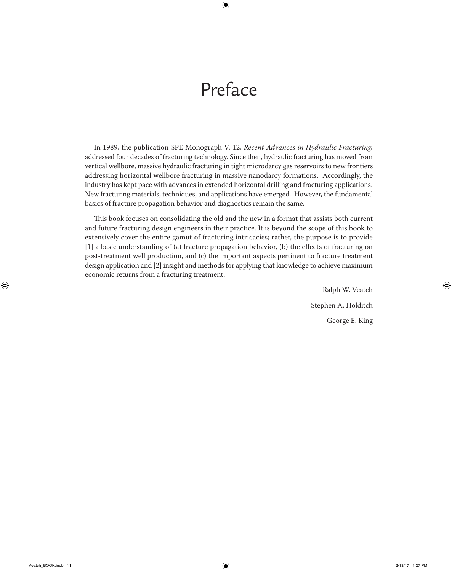# Preface

 $\bigoplus$ 

In 1989, the publication SPE Monograph V. 12, *Recent Advances in Hydraulic Fracturing,* addressed four decades of fracturing technology. Since then, hydraulic fracturing has moved from vertical wellbore, massive hydraulic fracturing in tight microdarcy gas reservoirs to new frontiers addressing horizontal wellbore fracturing in massive nanodarcy formations. Accordingly, the industry has kept pace with advances in extended horizontal drilling and fracturing applications. New fracturing materials, techniques, and applications have emerged. However, the fundamental basics of fracture propagation behavior and diagnostics remain the same.

This book focuses on consolidating the old and the new in a format that assists both current and future fracturing design engineers in their practice. It is beyond the scope of this book to extensively cover the entire gamut of fracturing intricacies; rather, the purpose is to provide [1] a basic understanding of (a) fracture propagation behavior, (b) the effects of fracturing on post-treatment well production, and (c) the important aspects pertinent to fracture treatment design application and [2] insight and methods for applying that knowledge to achieve maximum economic returns from a fracturing treatment.

> Ralph W. Veatch Stephen A. Holditch George E. King

 $\textcircled{\scriptsize\textsf{t}}$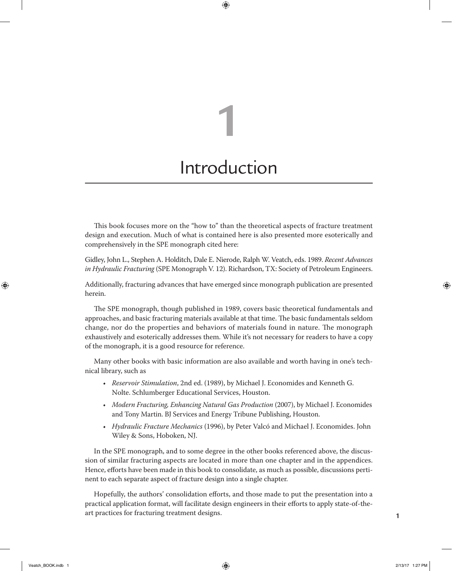# Introduction

**1**

 $\bigoplus$ 

This book focuses more on the "how to" than the theoretical aspects of fracture treatment design and execution. Much of what is contained here is also presented more esoterically and comprehensively in the SPE monograph cited here:

Gidley, John L., Stephen A. Holditch, Dale E. Nierode, Ralph W. Veatch, eds. 1989. *Recent Advances in Hydraulic Fracturing* (SPE Monograph V. 12). Richardson, TX: Society of Petroleum Engineers.

Additionally, fracturing advances that have emerged since monograph publication are presented herein.

The SPE monograph, though published in 1989, covers basic theoretical fundamentals and approaches, and basic fracturing materials available at that time. The basic fundamentals seldom change, nor do the properties and behaviors of materials found in nature. The monograph exhaustively and esoterically addresses them. While it's not necessary for readers to have a copy of the monograph, it is a good resource for reference.

Many other books with basic information are also available and worth having in one's technical library, such as

- *Reservoir Stimulation*, 2nd ed. (1989), by Michael J. Economides and Kenneth G. Nolte. Schlumberger Educational Services, Houston.
- *Modern Fracturing, Enhancing Natural Gas Production* (2007), by Michael J. Economides and Tony Martin. BJ Services and Energy Tribune Publishing, Houston.
- *Hydraulic Fracture Mechanics* (1996), by Peter Valcó and Michael J. Economides. John Wiley & Sons, Hoboken, NJ.

In the SPE monograph, and to some degree in the other books referenced above, the discussion of similar fracturing aspects are located in more than one chapter and in the appendices. Hence, efforts have been made in this book to consolidate, as much as possible, discussions pertinent to each separate aspect of fracture design into a single chapter.

Hopefully, the authors' consolidation efforts, and those made to put the presentation into a practical application format, will facilitate design engineers in their efforts to apply state-of-theart practices for fracturing treatment designs.

⊕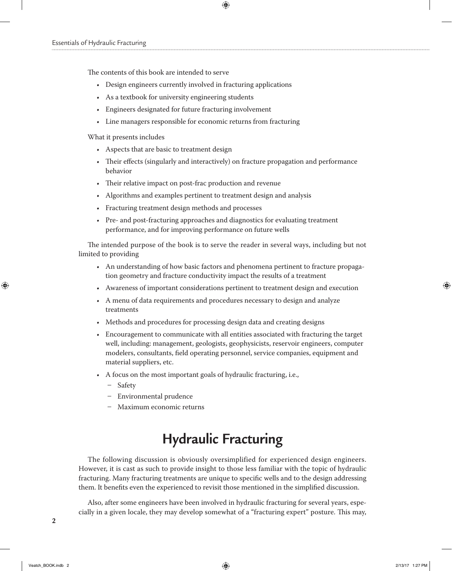The contents of this book are intended to serve

- Design engineers currently involved in fracturing applications
- As a textbook for university engineering students
- Engineers designated for future fracturing involvement
- Line managers responsible for economic returns from fracturing

What it presents includes

- Aspects that are basic to treatment design
- Their effects (singularly and interactively) on fracture propagation and performance behavior

 $\bigoplus$ 

- Their relative impact on post-frac production and revenue
- Algorithms and examples pertinent to treatment design and analysis
- Fracturing treatment design methods and processes
- Pre- and post-fracturing approaches and diagnostics for evaluating treatment performance, and for improving performance on future wells

The intended purpose of the book is to serve the reader in several ways, including but not limited to providing

- An understanding of how basic factors and phenomena pertinent to fracture propagation geometry and fracture conductivity impact the results of a treatment
- Awareness of important considerations pertinent to treatment design and execution
- A menu of data requirements and procedures necessary to design and analyze treatments
- Methods and procedures for processing design data and creating designs
- Encouragement to communicate with all entities associated with fracturing the target well, including: management, geologists, geophysicists, reservoir engineers, computer modelers, consultants, field operating personnel, service companies, equipment and material suppliers, etc.
- A focus on the most important goals of hydraulic fracturing, i.e.,
	- Safety
	- Environmental prudence
	- Maximum economic returns

### **Hydraulic Fracturing**

The following discussion is obviously oversimplified for experienced design engineers. However, it is cast as such to provide insight to those less familiar with the topic of hydraulic fracturing. Many fracturing treatments are unique to specific wells and to the design addressing them. It benefits even the experienced to revisit those mentioned in the simplified discussion.

Also, after some engineers have been involved in hydraulic fracturing for several years, especially in a given locale, they may develop somewhat of a "fracturing expert" posture. This may,

**2**

⊕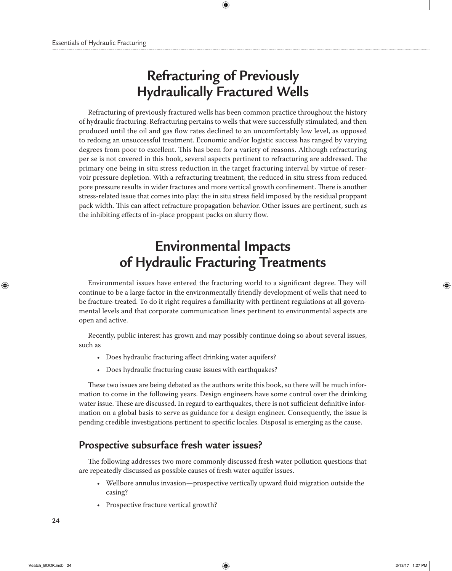## **Refracturing of Previously Hydraulically Fractured Wells**

 $\bigoplus$ 

Refracturing of previously fractured wells has been common practice throughout the history of hydraulic fracturing. Refracturing pertains to wells that were successfully stimulated, and then produced until the oil and gas flow rates declined to an uncomfortably low level, as opposed to redoing an unsuccessful treatment. Economic and/or logistic success has ranged by varying degrees from poor to excellent. This has been for a variety of reasons. Although refracturing per se is not covered in this book, several aspects pertinent to refracturing are addressed. The primary one being in situ stress reduction in the target fracturing interval by virtue of reservoir pressure depletion. With a refracturing treatment, the reduced in situ stress from reduced pore pressure results in wider fractures and more vertical growth confinement. There is another stress-related issue that comes into play: the in situ stress field imposed by the residual proppant pack width. This can affect refracture propagation behavior. Other issues are pertinent, such as the inhibiting effects of in-place proppant packs on slurry flow.

## **Environmental Impacts of Hydraulic Fracturing Treatments**

Environmental issues have entered the fracturing world to a significant degree. They will continue to be a large factor in the environmentally friendly development of wells that need to be fracture-treated. To do it right requires a familiarity with pertinent regulations at all governmental levels and that corporate communication lines pertinent to environmental aspects are open and active.

Recently, public interest has grown and may possibly continue doing so about several issues, such as

- Does hydraulic fracturing affect drinking water aquifers?
- Does hydraulic fracturing cause issues with earthquakes?

These two issues are being debated as the authors write this book, so there will be much information to come in the following years. Design engineers have some control over the drinking water issue. These are discussed. In regard to earthquakes, there is not sufficient definitive information on a global basis to serve as guidance for a design engineer. Consequently, the issue is pending credible investigations pertinent to specific locales. Disposal is emerging as the cause.

### **Prospective subsurface fresh water issues?**

The following addresses two more commonly discussed fresh water pollution questions that are repeatedly discussed as possible causes of fresh water aquifer issues.

- Wellbore annulus invasion—prospective vertically upward fluid migration outside the casing?
- Prospective fracture vertical growth?

⊕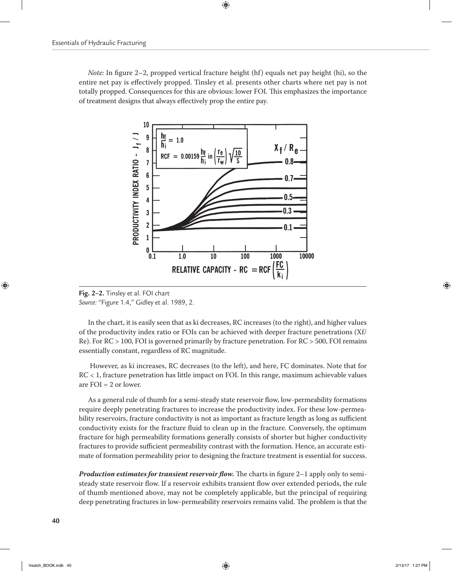*Note:* In figure 2–2, propped vertical fracture height (hf) equals net pay height (hi), so the entire net pay is effectively propped. Tinsley et al. presents other charts where net pay is not totally propped. Consequences for this are obvious: lower FOI. This emphasizes the importance of treatment designs that always effectively prop the entire pay.

 $\bigoplus$ 



**Fig. 2–2.** Tinsley et al. FOI chart *Source:* "Figure 1.4," Gidley et al. 1989, 2.

In the chart, it is easily seen that as ki decreases, RC increases (to the right), and higher values of the productivity index ratio or FOIs can be achieved with deeper fracture penetrations (Xf/ Re). For RC > 100, FOI is governed primarily by fracture penetration. For RC > 500, FOI remains essentially constant, regardless of RC magnitude.

 However, as ki increases, RC decreases (to the left), and here, FC dominates. Note that for RC < 1, fracture penetration has little impact on FOI. In this range, maximum achievable values are FOI = 2 or lower.

As a general rule of thumb for a semi-steady state reservoir flow, low-permeability formations require deeply penetrating fractures to increase the productivity index. For these low-permeability reservoirs, fracture conductivity is not as important as fracture length as long as sufficient conductivity exists for the fracture fluid to clean up in the fracture. Conversely, the optimum fracture for high permeability formations generally consists of shorter but higher conductivity fractures to provide sufficient permeability contrast with the formation. Hence, an accurate estimate of formation permeability prior to designing the fracture treatment is essential for success.

*Production estimates for transient reservoir flow.* The charts in figure 2–1 apply only to semisteady state reservoir flow. If a reservoir exhibits transient flow over extended periods, the rule of thumb mentioned above, may not be completely applicable, but the principal of requiring deep penetrating fractures in low-permeability reservoirs remains valid. The problem is that the

 $\textcircled{\scriptsize{+}}$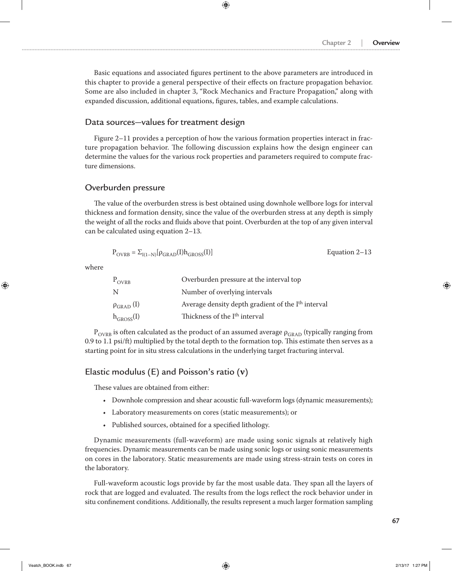Basic equations and associated figures pertinent to the above parameters are introduced in this chapter to provide a general perspective of their effects on fracture propagation behavior. Some are also included in chapter 3, "Rock Mechanics and Fracture Propagation," along with expanded discussion, additional equations, figures, tables, and example calculations.

 $\bigoplus$ 

#### Data sources—values for treatment design

Figure 2–11 provides a perception of how the various formation properties interact in fracture propagation behavior. The following discussion explains how the design engineer can determine the values for the various rock properties and parameters required to compute fracture dimensions.

### Overburden pressure

The value of the overburden stress is best obtained using downhole wellbore logs for interval thickness and formation density, since the value of the overburden stress at any depth is simply the weight of all the rocks and fluids above that point. Overburden at the top of any given interval can be calculated using equation 2–13.

$$
P_{\text{OVRB}} = \Sigma_{I(1-N)}[\rho_{\text{GRAD}}(I)h_{\text{GROSS}}(I)]
$$
 *Equation 2–13*

where

⊕

| $P_{OVRB}$               | Overburden pressure at the interval top                        |
|--------------------------|----------------------------------------------------------------|
| N                        | Number of overlying intervals                                  |
| $\rho_{\text{GRAD}}$ (I) | Average density depth gradient of the I <sup>th</sup> interval |
| $h_{GROS}(I)$            | Thickness of the I <sup>th</sup> interval                      |

 $P_{\text{OVRB}}$  is often calculated as the product of an assumed average  $\rho_{\text{GRAD}}$  (typically ranging from 0.9 to 1.1 psi/ft) multiplied by the total depth to the formation top. This estimate then serves as a starting point for in situ stress calculations in the underlying target fracturing interval.

#### Elastic modulus (E) and Poisson's ratio (**ν**)

These values are obtained from either:

- Downhole compression and shear acoustic full-waveform logs (dynamic measurements);
- Laboratory measurements on cores (static measurements); or
- Published sources, obtained for a specified lithology.

Dynamic measurements (full-waveform) are made using sonic signals at relatively high frequencies. Dynamic measurements can be made using sonic logs or using sonic measurements on cores in the laboratory. Static measurements are made using stress-strain tests on cores in the laboratory.

Full-waveform acoustic logs provide by far the most usable data. They span all the layers of rock that are logged and evaluated. The results from the logs reflect the rock behavior under in situ confinement conditions. Additionally, the results represent a much larger formation sampling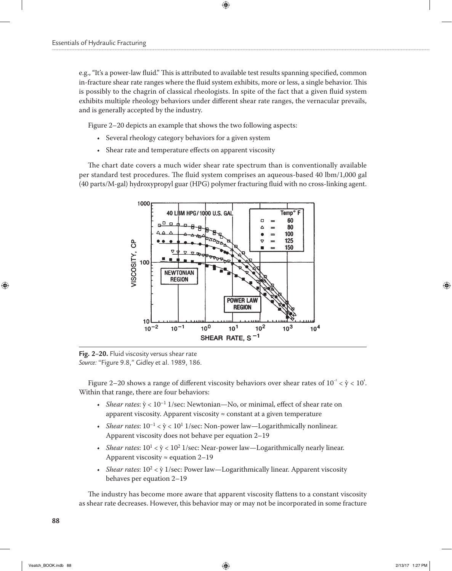e.g., "It's a power-law fluid." This is attributed to available test results spanning specified, common in-fracture shear rate ranges where the fluid system exhibits, more or less, a single behavior. This is possibly to the chagrin of classical rheologists. In spite of the fact that a given fluid system exhibits multiple rheology behaviors under different shear rate ranges, the vernacular prevails, and is generally accepted by the industry.

 $\bigoplus$ 

Figure 2–20 depicts an example that shows the two following aspects:

- Several rheology category behaviors for a given system
- Shear rate and temperature effects on apparent viscosity

The chart date covers a much wider shear rate spectrum than is conventionally available per standard test procedures. The fluid system comprises an aqueous-based 40 lbm/1,000 gal (40 parts/M-gal) hydroxypropyl guar (HPG) polymer fracturing fluid with no cross-linking agent.



**Fig. 2–20.** Fluid viscosity versus shear rate *Source:* "Figure 9.8," Gidley et al. 1989, 186.

Figure 2–20 shows a range of different viscosity behaviors over shear rates of  $10^{-2} < \dot{y} < 10^{4}$ . Within that range, there are four behaviors:

- *Shear rates*:  $\dot{y}$  < 10<sup>-1</sup> 1/sec: Newtonian—No, or minimal, effect of shear rate on apparent viscosity. Apparent viscosity ≈ constant at a given temperature
- *Shear rates*:  $10^{-1} < \dot{y} < 10^{1}$  1/sec: Non-power law—Logarithmically nonlinear. Apparent viscosity does not behave per equation 2–19
- *Shear rates*:  $10^1 < \dot{y} < 10^2$  1/sec: Near-power law—Logarithmically nearly linear. Apparent viscosity  $\approx$  equation 2–19
- *Shear rates*:  $10^2 < \dot{y}$  1/sec: Power law—Logarithmically linear. Apparent viscosity behaves per equation 2–19

The industry has become more aware that apparent viscosity flattens to a constant viscosity as shear rate decreases. However, this behavior may or may not be incorporated in some fracture

**88**

⊕